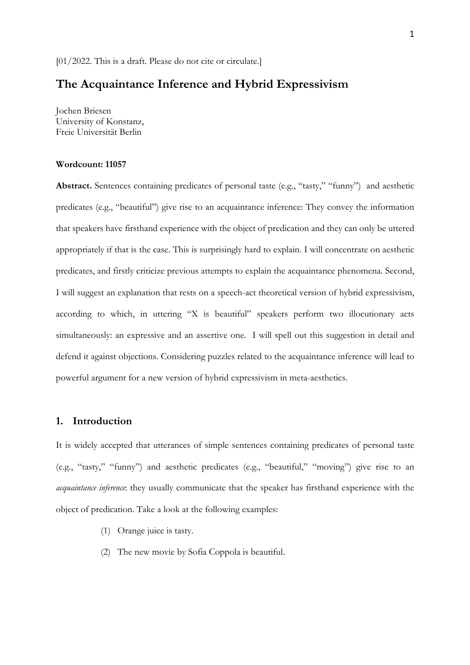# **The Acquaintance Inference and Hybrid Expressivism**

Jochen Briesen University of Konstanz, Freie Universität Berlin

## **Wordcount: 11057**

**Abstract.** Sentences containing predicates of personal taste (e.g., "tasty," "funny") and aesthetic predicates (e.g., "beautiful") give rise to an acquaintance inference: They convey the information that speakers have firsthand experience with the object of predication and they can only be uttered appropriately if that is the case. This is surprisingly hard to explain. I will concentrate on aesthetic predicates, and firstly criticize previous attempts to explain the acquaintance phenomena. Second, I will suggest an explanation that rests on a speech-act theoretical version of hybrid expressivism, according to which, in uttering "X is beautiful" speakers perform two illocutionary acts simultaneously: an expressive and an assertive one. I will spell out this suggestion in detail and defend it against objections. Considering puzzles related to the acquaintance inference will lead to powerful argument for a new version of hybrid expressivism in meta-aesthetics.

## **1. Introduction**

It is widely accepted that utterances of simple sentences containing predicates of personal taste (e.g., "tasty," "funny") and aesthetic predicates (e.g., "beautiful," "moving") give rise to an *acquaintance inference*: they usually communicate that the speaker has firsthand experience with the object of predication. Take a look at the following examples:

- (1) Orange juice is tasty.
- (2) The new movie by Sofia Coppola is beautiful.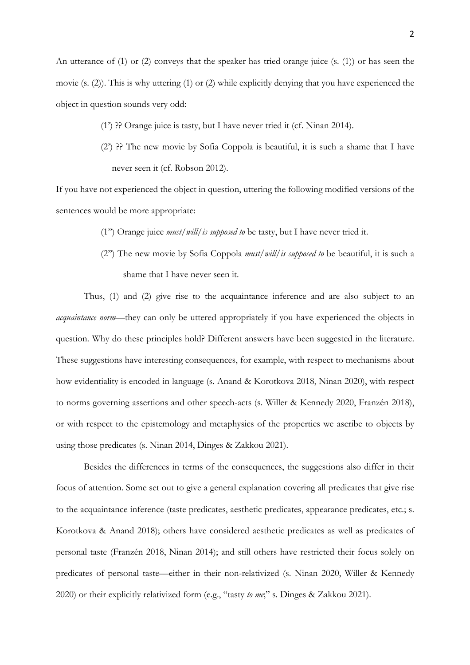An utterance of (1) or (2) conveys that the speaker has tried orange juice (s. (1)) or has seen the movie (s. (2)). This is why uttering (1) or (2) while explicitly denying that you have experienced the object in question sounds very odd:

- (1') ?? Orange juice is tasty, but I have never tried it (cf. Ninan 2014).
- (2') ?? The new movie by Sofia Coppola is beautiful, it is such a shame that I have never seen it (cf. Robson 2012).

If you have not experienced the object in question, uttering the following modified versions of the sentences would be more appropriate:

- (1'') Orange juice *must/will/is supposed to* be tasty, but I have never tried it.
- (2'') The new movie by Sofia Coppola *must/will/is supposed to* be beautiful, it is such a shame that I have never seen it.

Thus, (1) and (2) give rise to the acquaintance inference and are also subject to an *acquaintance norm*—they can only be uttered appropriately if you have experienced the objects in question. Why do these principles hold? Different answers have been suggested in the literature. These suggestions have interesting consequences, for example, with respect to mechanisms about how evidentiality is encoded in language (s. Anand & Korotkova 2018, Ninan 2020), with respect to norms governing assertions and other speech-acts (s. Willer & Kennedy 2020, Franzén 2018), or with respect to the epistemology and metaphysics of the properties we ascribe to objects by using those predicates (s. Ninan 2014, Dinges & Zakkou 2021).

Besides the differences in terms of the consequences, the suggestions also differ in their focus of attention. Some set out to give a general explanation covering all predicates that give rise to the acquaintance inference (taste predicates, aesthetic predicates, appearance predicates, etc.; s. Korotkova & Anand 2018); others have considered aesthetic predicates as well as predicates of personal taste (Franzén 2018, Ninan 2014); and still others have restricted their focus solely on predicates of personal taste––either in their non-relativized (s. Ninan 2020, Willer & Kennedy 2020) or their explicitly relativized form (e.g., "tasty *to me*;" s. Dinges & Zakkou 2021).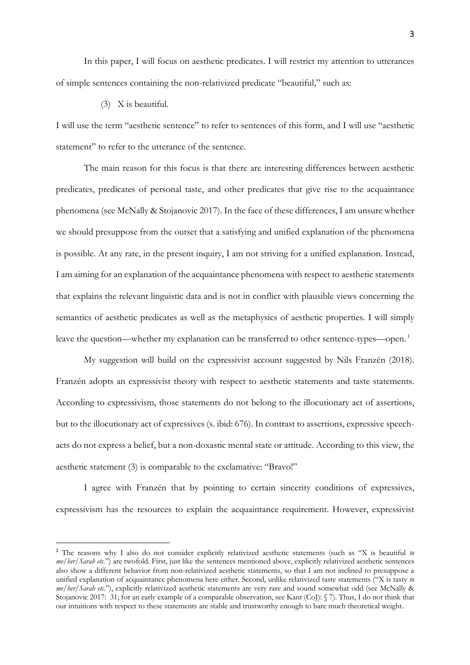In this paper, I will focus on aesthetic predicates. I will restrict my attention to utterances of simple sentences containing the non-relativized predicate "beautiful," such as:

#### (3) X is beautiful.

I will use the term "aesthetic sentence" to refer to sentences of this form, and I will use "aesthetic statement" to refer to the utterance of the sentence.

The main reason for this focus is that there are interesting differences between aesthetic predicates, predicates of personal taste, and other predicates that give rise to the acquaintance phenomena (see McNally & Stojanovic 2017). In the face of these differences, I am unsure whether we should presuppose from the outset that a satisfying and unified explanation of the phenomena is possible. At any rate, in the present inquiry, I am not striving for a unified explanation. Instead, I am aiming for an explanation of the acquaintance phenomena with respect to aesthetic statements that explains the relevant linguistic data and is not in conflict with plausible views concerning the semantics of aesthetic predicates as well as the metaphysics of aesthetic properties. I will simply leave the question—whether my explanation can be transferred to other sentence-types—open.<sup>1</sup>

My suggestion will build on the expressivist account suggested by Nils Franzén (2018). Franzén adopts an expressivist theory with respect to aesthetic statements and taste statements. According to expressivism, those statements do not belong to the illocutionary act of assertions, but to the illocutionary act of expressives (s. ibid: 676). In contrast to assertions, expressive speechacts do not express a belief, but a non-doxastic mental state or attitude. According to this view, the aesthetic statement (3) is comparable to the exclamative: "Bravo!"

I agree with Franzén that by pointing to certain sincerity conditions of expressives, expressivism has the resources to explain the acquaintance requirement. However, expressivist

<sup>1</sup> The reasons why I also do not consider explicitly relativized aesthetic statements (such as "X is beautiful *to me/her/Sarah etc.*") are twofold. First, just like the sentences mentioned above, explicitly relativized aesthetic sentences also show a different behavior from non-relativized aesthetic statements, so that I am not inclined to presuppose a unified explanation of acquaintance phenomena here either. Second, unlike relativized taste statements ("X is tasty *to me/her/Sarah etc*."), explicitly relativized aesthetic statements are very rare and sound somewhat odd (see McNally & Stojanovic 2017: 31; for an early example of a comparable observation, see Kant (CoJ): § 7). Thus, I do not think that our intuitions with respect to these statements are stable and trustworthy enough to bare much theoretical weight.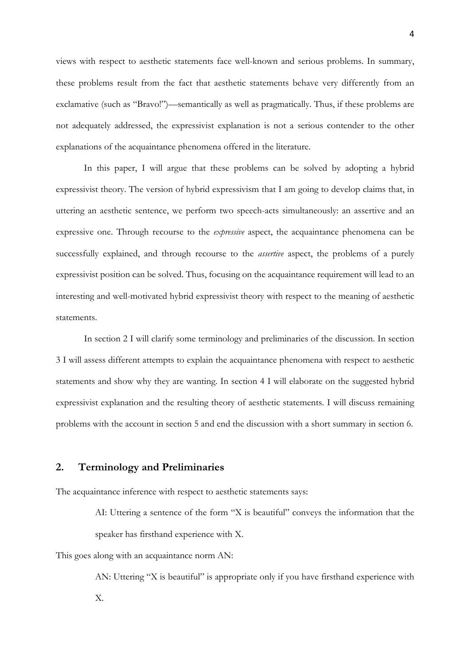views with respect to aesthetic statements face well-known and serious problems. In summary, these problems result from the fact that aesthetic statements behave very differently from an exclamative (such as "Bravo!")––semantically as well as pragmatically. Thus, if these problems are not adequately addressed, the expressivist explanation is not a serious contender to the other explanations of the acquaintance phenomena offered in the literature.

In this paper, I will argue that these problems can be solved by adopting a hybrid expressivist theory. The version of hybrid expressivism that I am going to develop claims that, in uttering an aesthetic sentence, we perform two speech-acts simultaneously: an assertive and an expressive one. Through recourse to the *expressive* aspect, the acquaintance phenomena can be successfully explained, and through recourse to the *assertive* aspect, the problems of a purely expressivist position can be solved. Thus, focusing on the acquaintance requirement will lead to an interesting and well-motivated hybrid expressivist theory with respect to the meaning of aesthetic statements.

In section 2 I will clarify some terminology and preliminaries of the discussion. In section 3 I will assess different attempts to explain the acquaintance phenomena with respect to aesthetic statements and show why they are wanting. In section 4 I will elaborate on the suggested hybrid expressivist explanation and the resulting theory of aesthetic statements. I will discuss remaining problems with the account in section 5 and end the discussion with a short summary in section 6.

## **2. Terminology and Preliminaries**

The acquaintance inference with respect to aesthetic statements says:

AI: Uttering a sentence of the form "X is beautiful" conveys the information that the speaker has firsthand experience with X.

This goes along with an acquaintance norm AN:

AN: Uttering "X is beautiful" is appropriate only if you have firsthand experience with X.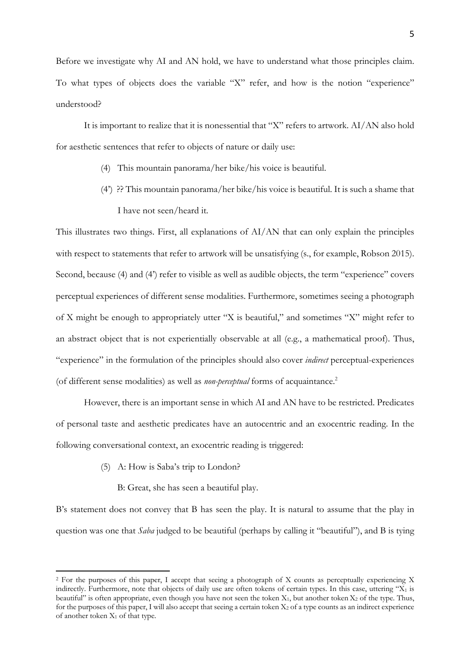Before we investigate why AI and AN hold, we have to understand what those principles claim. To what types of objects does the variable "X" refer, and how is the notion "experience" understood?

It is important to realize that it is nonessential that "X" refers to artwork. AI/AN also hold for aesthetic sentences that refer to objects of nature or daily use:

- (4) This mountain panorama/her bike/his voice is beautiful.
- (4') ?? This mountain panorama/her bike/his voice is beautiful. It is such a shame that I have not seen/heard it.

This illustrates two things. First, all explanations of AI/AN that can only explain the principles with respect to statements that refer to artwork will be unsatisfying (s., for example, Robson 2015). Second, because (4) and (4') refer to visible as well as audible objects, the term "experience" covers perceptual experiences of different sense modalities. Furthermore, sometimes seeing a photograph of X might be enough to appropriately utter "X is beautiful," and sometimes "X" might refer to an abstract object that is not experientially observable at all (e.g., a mathematical proof). Thus, "experience" in the formulation of the principles should also cover *indirect* perceptual-experiences (of different sense modalities) as well as *non-perceptual* forms of acquaintance.2

However, there is an important sense in which AI and AN have to be restricted. Predicates of personal taste and aesthetic predicates have an autocentric and an exocentric reading. In the following conversational context, an exocentric reading is triggered:

- (5) A: How is Saba's trip to London?
	- B: Great, she has seen a beautiful play.

B's statement does not convey that B has seen the play. It is natural to assume that the play in question was one that *Saba* judged to be beautiful (perhaps by calling it "beautiful"), and B is tying

<sup>2</sup> For the purposes of this paper, I accept that seeing a photograph of X counts as perceptually experiencing X indirectly. Furthermore, note that objects of daily use are often tokens of certain types. In this case, uttering " $X_1$  is beautiful" is often appropriate, even though you have not seen the token  $X_1$ , but another token  $X_2$  of the type. Thus, for the purposes of this paper, I will also accept that seeing a certain token  $X_2$  of a type counts as an indirect experience of another token  $X_1$  of that type.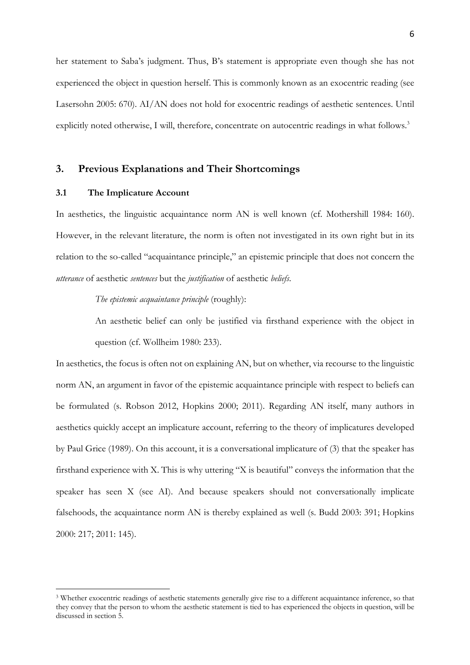her statement to Saba's judgment. Thus, B's statement is appropriate even though she has not experienced the object in question herself. This is commonly known as an exocentric reading (see Lasersohn 2005: 670). AI/AN does not hold for exocentric readings of aesthetic sentences. Until explicitly noted otherwise, I will, therefore, concentrate on autocentric readings in what follows.<sup>3</sup>

## **3. Previous Explanations and Their Shortcomings**

#### **3.1 The Implicature Account**

In aesthetics, the linguistic acquaintance norm AN is well known (cf. Mothershill 1984: 160). However, in the relevant literature, the norm is often not investigated in its own right but in its relation to the so-called "acquaintance principle," an epistemic principle that does not concern the *utterance* of aesthetic *sentences* but the *justification* of aesthetic *beliefs*.

*The epistemic acquaintance principle* (roughly):

An aesthetic belief can only be justified via firsthand experience with the object in question (cf. Wollheim 1980: 233).

In aesthetics, the focus is often not on explaining AN, but on whether, via recourse to the linguistic norm AN, an argument in favor of the epistemic acquaintance principle with respect to beliefs can be formulated (s. Robson 2012, Hopkins 2000; 2011). Regarding AN itself, many authors in aesthetics quickly accept an implicature account, referring to the theory of implicatures developed by Paul Grice (1989). On this account, it is a conversational implicature of (3) that the speaker has firsthand experience with X. This is why uttering "X is beautiful" conveys the information that the speaker has seen X (see AI). And because speakers should not conversationally implicate falsehoods, the acquaintance norm AN is thereby explained as well (s. Budd 2003: 391; Hopkins 2000: 217; 2011: 145).

<sup>3</sup> Whether exocentric readings of aesthetic statements generally give rise to a different acquaintance inference, so that they convey that the person to whom the aesthetic statement is tied to has experienced the objects in question, will be discussed in section 5.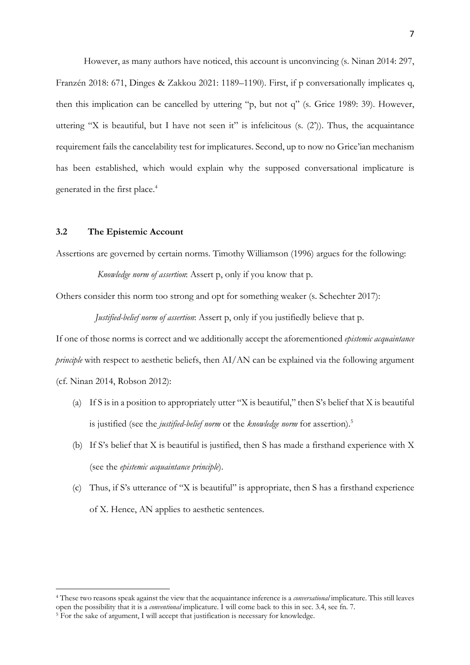However, as many authors have noticed, this account is unconvincing (s. Ninan 2014: 297, Franzén 2018: 671, Dinges & Zakkou 2021: 1189–1190). First, if p conversationally implicates q, then this implication can be cancelled by uttering "p, but not q" (s. Grice 1989: 39). However, uttering "X is beautiful, but I have not seen it" is infelicitous (s.  $(2')$ ). Thus, the acquaintance requirement fails the cancelability test for implicatures. Second, up to now no Grice'ian mechanism has been established, which would explain why the supposed conversational implicature is generated in the first place. 4

#### **3.2 The Epistemic Account**

Assertions are governed by certain norms. Timothy Williamson (1996) argues for the following:

*Knowledge norm of assertion*: Assert p, only if you know that p.

Others consider this norm too strong and opt for something weaker (s. Schechter 2017):

*Justified-belief norm of assertion*: Assert p, only if you justifiedly believe that p.

If one of those norms is correct and we additionally accept the aforementioned *epistemic acquaintance principle* with respect to aesthetic beliefs, then AI/AN can be explained via the following argument (cf. Ninan 2014, Robson 2012):

- (a) If S is in a position to appropriately utter "X is beautiful," then S's belief that X is beautiful is justified (see the *justified-belief norm* or the *knowledge norm* for assertion).5
- (b) If S's belief that X is beautiful is justified, then S has made a firsthand experience with X (see the *epistemic acquaintance principle*).
- (c) Thus, if S's utterance of "X is beautiful" is appropriate, then S has a firsthand experience of X. Hence, AN applies to aesthetic sentences.

<sup>4</sup> These two reasons speak against the view that the acquaintance inference is a *conversational* implicature. This still leaves open the possibility that it is a *conventional* implicature. I will come back to this in sec. 3.4, see fn. 7.

<sup>&</sup>lt;sup>5</sup> For the sake of argument, I will accept that justification is necessary for knowledge.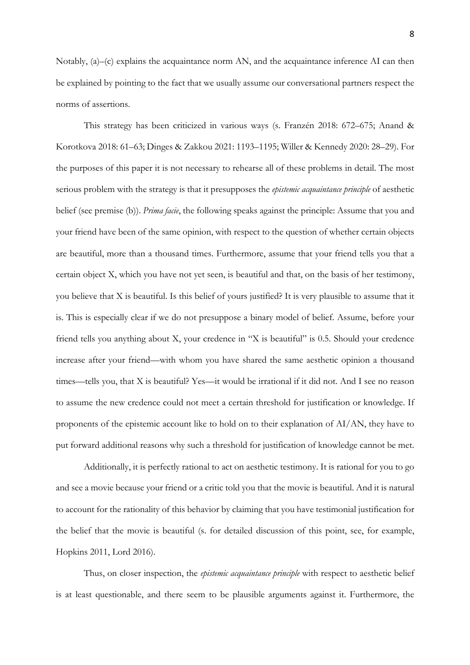Notably, (a)–(c) explains the acquaintance norm AN, and the acquaintance inference AI can then be explained by pointing to the fact that we usually assume our conversational partners respect the norms of assertions.

This strategy has been criticized in various ways (s. Franzén 2018: 672–675; Anand & Korotkova 2018: 61–63; Dinges & Zakkou 2021: 1193–1195; Willer & Kennedy 2020: 28–29). For the purposes of this paper it is not necessary to rehearse all of these problems in detail. The most serious problem with the strategy is that it presupposes the *epistemic acquaintance principle* of aesthetic belief (see premise (b)). *Prima facie*, the following speaks against the principle: Assume that you and your friend have been of the same opinion, with respect to the question of whether certain objects are beautiful, more than a thousand times. Furthermore, assume that your friend tells you that a certain object X, which you have not yet seen, is beautiful and that, on the basis of her testimony, you believe that X is beautiful. Is this belief of yours justified? It is very plausible to assume that it is. This is especially clear if we do not presuppose a binary model of belief. Assume, before your friend tells you anything about X, your credence in "X is beautiful" is 0.5. Should your credence increase after your friend––with whom you have shared the same aesthetic opinion a thousand times––tells you, that X is beautiful? Yes––it would be irrational if it did not. And I see no reason to assume the new credence could not meet a certain threshold for justification or knowledge. If proponents of the epistemic account like to hold on to their explanation of AI/AN, they have to put forward additional reasons why such a threshold for justification of knowledge cannot be met.

Additionally, it is perfectly rational to act on aesthetic testimony. It is rational for you to go and see a movie because your friend or a critic told you that the movie is beautiful. And it is natural to account for the rationality of this behavior by claiming that you have testimonial justification for the belief that the movie is beautiful (s. for detailed discussion of this point, see, for example, Hopkins 2011, Lord 2016).

Thus, on closer inspection, the *epistemic acquaintance principle* with respect to aesthetic belief is at least questionable, and there seem to be plausible arguments against it. Furthermore, the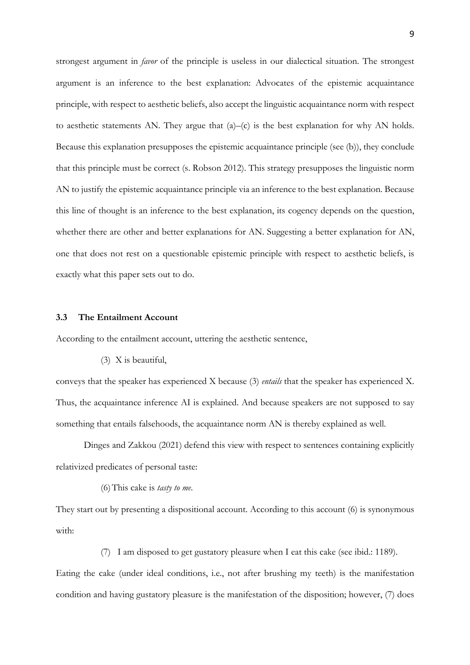strongest argument in *favor* of the principle is useless in our dialectical situation. The strongest argument is an inference to the best explanation: Advocates of the epistemic acquaintance principle, with respect to aesthetic beliefs, also accept the linguistic acquaintance norm with respect to aesthetic statements AN. They argue that (a)–(c) is the best explanation for why AN holds. Because this explanation presupposes the epistemic acquaintance principle (see (b)), they conclude that this principle must be correct (s. Robson 2012). This strategy presupposes the linguistic norm AN to justify the epistemic acquaintance principle via an inference to the best explanation. Because this line of thought is an inference to the best explanation, its cogency depends on the question, whether there are other and better explanations for AN. Suggesting a better explanation for AN, one that does not rest on a questionable epistemic principle with respect to aesthetic beliefs, is exactly what this paper sets out to do.

### **3.3 The Entailment Account**

According to the entailment account, uttering the aesthetic sentence,

(3) X is beautiful,

conveys that the speaker has experienced X because (3) *entails* that the speaker has experienced X. Thus, the acquaintance inference AI is explained. And because speakers are not supposed to say something that entails falsehoods, the acquaintance norm AN is thereby explained as well.

Dinges and Zakkou (2021) defend this view with respect to sentences containing explicitly relativized predicates of personal taste:

(6)This cake is *tasty to me*.

They start out by presenting a dispositional account. According to this account (6) is synonymous with:

(7) I am disposed to get gustatory pleasure when I eat this cake (see ibid.: 1189).

Eating the cake (under ideal conditions, i.e., not after brushing my teeth) is the manifestation condition and having gustatory pleasure is the manifestation of the disposition; however, (7) does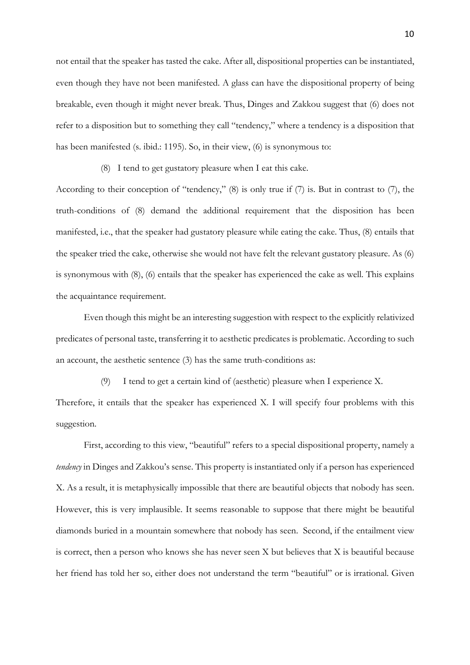not entail that the speaker has tasted the cake. After all, dispositional properties can be instantiated, even though they have not been manifested. A glass can have the dispositional property of being breakable, even though it might never break. Thus, Dinges and Zakkou suggest that (6) does not refer to a disposition but to something they call "tendency," where a tendency is a disposition that has been manifested (s. ibid.: 1195). So, in their view, (6) is synonymous to:

(8) I tend to get gustatory pleasure when I eat this cake.

According to their conception of "tendency," (8) is only true if (7) is. But in contrast to (7), the truth-conditions of (8) demand the additional requirement that the disposition has been manifested, i.e., that the speaker had gustatory pleasure while eating the cake. Thus, (8) entails that the speaker tried the cake, otherwise she would not have felt the relevant gustatory pleasure. As (6) is synonymous with (8), (6) entails that the speaker has experienced the cake as well. This explains the acquaintance requirement.

Even though this might be an interesting suggestion with respect to the explicitly relativized predicates of personal taste, transferring it to aesthetic predicates is problematic. According to such an account, the aesthetic sentence (3) has the same truth-conditions as:

(9) I tend to get a certain kind of (aesthetic) pleasure when I experience X.

Therefore, it entails that the speaker has experienced X. I will specify four problems with this suggestion.

First, according to this view, "beautiful" refers to a special dispositional property, namely a *tendency* in Dinges and Zakkou's sense. This property is instantiated only if a person has experienced X. As a result, it is metaphysically impossible that there are beautiful objects that nobody has seen. However, this is very implausible. It seems reasonable to suppose that there might be beautiful diamonds buried in a mountain somewhere that nobody has seen. Second, if the entailment view is correct, then a person who knows she has never seen X but believes that X is beautiful because her friend has told her so, either does not understand the term "beautiful" or is irrational. Given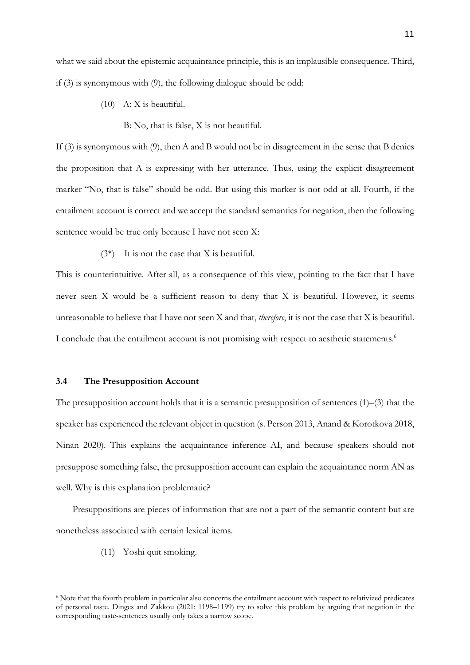what we said about the epistemic acquaintance principle, this is an implausible consequence. Third, if (3) is synonymous with (9), the following dialogue should be odd:

- (10) A: X is beautiful.
	- B: No, that is false, X is not beautiful.

If (3) is synonymous with (9), then A and B would not be in disagreement in the sense that B denies the proposition that A is expressing with her utterance. Thus, using the explicit disagreement marker "No, that is false" should be odd. But using this marker is not odd at all. Fourth, if the entailment account is correct and we accept the standard semantics for negation, then the following sentence would be true only because I have not seen X:

(3\*) It is not the case that X is beautiful.

This is counterintuitive. After all, as a consequence of this view, pointing to the fact that I have never seen X would be a sufficient reason to deny that X is beautiful. However, it seems unreasonable to believe that I have not seen X and that, *therefore*, it is not the case that X is beautiful. I conclude that the entailment account is not promising with respect to aesthetic statements.<sup>6</sup>

#### **3.4 The Presupposition Account**

The presupposition account holds that it is a semantic presupposition of sentences  $(1)$ – $(3)$  that the speaker has experienced the relevant object in question (s. Person 2013, Anand & Korotkova 2018, Ninan 2020). This explains the acquaintance inference AI, and because speakers should not presuppose something false, the presupposition account can explain the acquaintance norm AN as well. Why is this explanation problematic?

Presuppositions are pieces of information that are not a part of the semantic content but are nonetheless associated with certain lexical items.

(11) Yoshi quit smoking.

<sup>6</sup> Note that the fourth problem in particular also concerns the entailment account with respect to relativized predicates of personal taste. Dinges and Zakkou (2021: 1198–1199) try to solve this problem by arguing that negation in the corresponding taste-sentences usually only takes a narrow scope.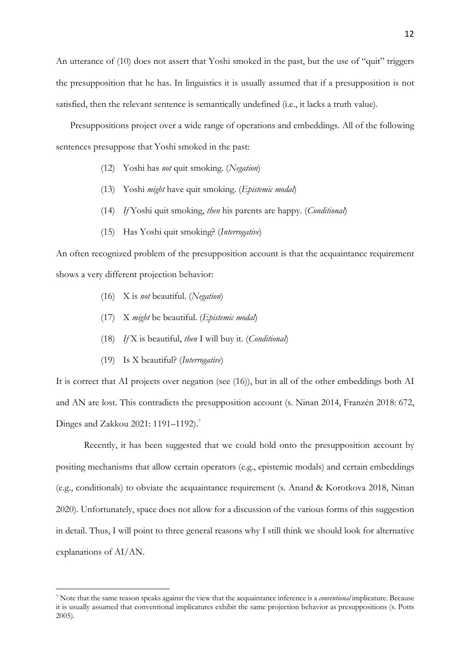An utterance of (10) does not assert that Yoshi smoked in the past, but the use of "quit" triggers the presupposition that he has. In linguistics it is usually assumed that if a presupposition is not satisfied, then the relevant sentence is semantically undefined (i.e., it lacks a truth value).

Presuppositions project over a wide range of operations and embeddings. All of the following sentences presuppose that Yoshi smoked in the past:

- (12) Yoshi has *not* quit smoking. (*Negation*)
- (13) Yoshi *might* have quit smoking. (*Epistemic modal*)
- (14) *If* Yoshi quit smoking, *then* his parents are happy. (*Conditional*)
- (15) Has Yoshi quit smoking? (*Interrogative*)

An often recognized problem of the presupposition account is that the acquaintance requirement shows a very different projection behavior:

- (16) X is *not* beautiful. (*Negation*)
- (17) X *might* be beautiful. (*Epistemic modal*)
- (18) *If* X is beautiful, *then* I will buy it. (*Conditional*)
- (19) Is X beautiful? (*Interrogative*)

It is correct that AI projects over negation (see (16)), but in all of the other embeddings both AI and AN are lost. This contradicts the presupposition account (s. Ninan 2014, Franzén 2018: 672, Dinges and Zakkou 2021: 1191–1192).<sup>7</sup>

Recently, it has been suggested that we could hold onto the presupposition account by positing mechanisms that allow certain operators (e.g., epistemic modals) and certain embeddings (e.g., conditionals) to obviate the acquaintance requirement (s. Anand & Korotkova 2018, Ninan 2020). Unfortunately, space does not allow for a discussion of the various forms of this suggestion in detail. Thus, I will point to three general reasons why I still think we should look for alternative explanations of AI/AN.

<sup>7</sup> Note that the same reason speaks against the view that the acquaintance inference is a *conventional* implicature. Because it is usually assumed that conventional implicatures exhibit the same projection behavior as presuppositions (s. Potts 2005).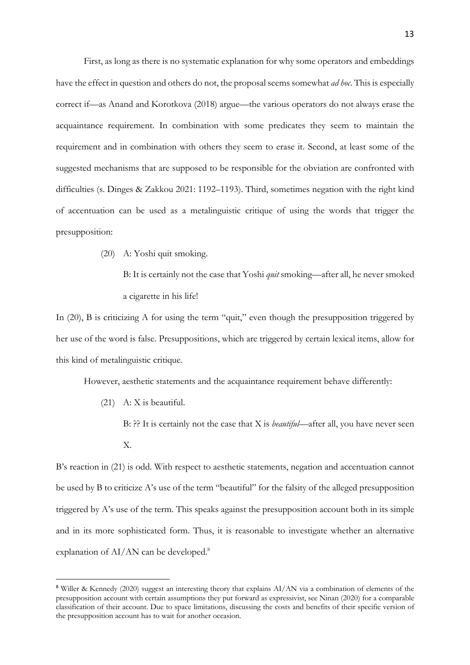First, as long as there is no systematic explanation for why some operators and embeddings have the effect in question and others do not, the proposal seems somewhat *ad hoc*. This is especially correct if—as Anand and Korotkova (2018) argue—the various operators do not always erase the acquaintance requirement. In combination with some predicates they seem to maintain the requirement and in combination with others they seem to erase it. Second, at least some of the suggested mechanisms that are supposed to be responsible for the obviation are confronted with difficulties (s. Dinges & Zakkou 2021: 1192–1193). Third, sometimes negation with the right kind of accentuation can be used as a metalinguistic critique of using the words that trigger the presupposition:

(20) A: Yoshi quit smoking.

B: It is certainly not the case that Yoshi *quit* smoking—after all, he never smoked a cigarette in his life!

In (20), B is criticizing A for using the term "quit," even though the presupposition triggered by her use of the word is false. Presuppositions, which are triggered by certain lexical items, allow for this kind of metalinguistic critique.

However, aesthetic statements and the acquaintance requirement behave differently:

- (21) A: X is beautiful.
	- B: ?? It is certainly not the case that X is *beautiful*—after all, you have never seen X.

B's reaction in (21) is odd. With respect to aesthetic statements, negation and accentuation cannot be used by B to criticize A's use of the term "beautiful" for the falsity of the alleged presupposition triggered by A's use of the term. This speaks against the presupposition account both in its simple and in its more sophisticated form. Thus, it is reasonable to investigate whether an alternative explanation of AI/AN can be developed.<sup>8</sup>

<sup>8</sup> Willer & Kennedy (2020) suggest an interesting theory that explains AI/AN via a combination of elements of the presupposition account with certain assumptions they put forward as expressivist, see Ninan (2020) for a comparable classification of their account. Due to space limitations, discussing the costs and benefits of their specific version of the presupposition account has to wait for another occasion.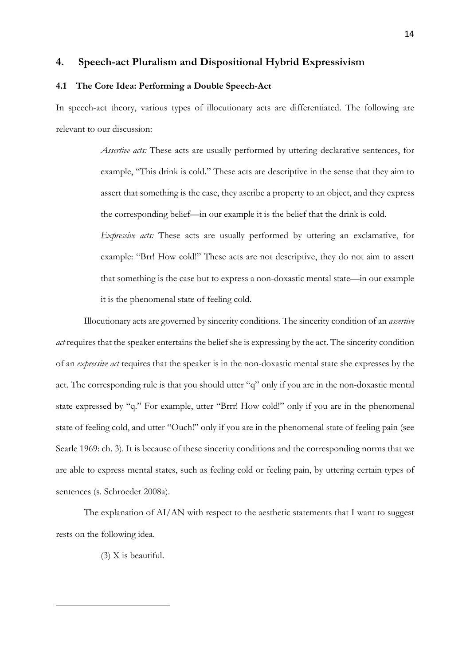### **4. Speech-act Pluralism and Dispositional Hybrid Expressivism**

## **4.1 The Core Idea: Performing a Double Speech-Act**

In speech-act theory, various types of illocutionary acts are differentiated. The following are relevant to our discussion:

> *Assertive acts:* These acts are usually performed by uttering declarative sentences, for example, "This drink is cold." These acts are descriptive in the sense that they aim to assert that something is the case, they ascribe a property to an object, and they express the corresponding belief—in our example it is the belief that the drink is cold.

> *Expressive acts:* These acts are usually performed by uttering an exclamative, for example: "Brr! How cold!" These acts are not descriptive, they do not aim to assert that something is the case but to express a non-doxastic mental state—in our example it is the phenomenal state of feeling cold.

Illocutionary acts are governed by sincerity conditions. The sincerity condition of an *assertive act* requires that the speaker entertains the belief she is expressing by the act. The sincerity condition of an *expressive act* requires that the speaker is in the non-doxastic mental state she expresses by the act. The corresponding rule is that you should utter "q" only if you are in the non-doxastic mental state expressed by "q." For example, utter "Brrr! How cold!" only if you are in the phenomenal state of feeling cold, and utter "Ouch!" only if you are in the phenomenal state of feeling pain (see Searle 1969: ch. 3). It is because of these sincerity conditions and the corresponding norms that we are able to express mental states, such as feeling cold or feeling pain, by uttering certain types of sentences (s. Schroeder 2008a).

The explanation of AI/AN with respect to the aesthetic statements that I want to suggest rests on the following idea.

(3) X is beautiful.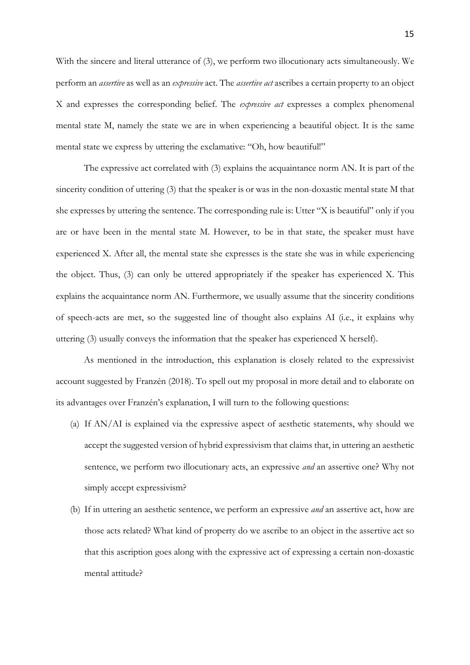With the sincere and literal utterance of (3), we perform two illocutionary acts simultaneously. We perform an *assertive* as well as an *expressive* act. The *assertive act* ascribes a certain property to an object X and expresses the corresponding belief. The *expressive act* expresses a complex phenomenal mental state M, namely the state we are in when experiencing a beautiful object. It is the same mental state we express by uttering the exclamative: "Oh, how beautiful!"

The expressive act correlated with (3) explains the acquaintance norm AN. It is part of the sincerity condition of uttering (3) that the speaker is or was in the non-doxastic mental state M that she expresses by uttering the sentence. The corresponding rule is: Utter "X is beautiful" only if you are or have been in the mental state M. However, to be in that state, the speaker must have experienced X. After all, the mental state she expresses is the state she was in while experiencing the object. Thus, (3) can only be uttered appropriately if the speaker has experienced X. This explains the acquaintance norm AN. Furthermore, we usually assume that the sincerity conditions of speech-acts are met, so the suggested line of thought also explains AI (i.e., it explains why uttering (3) usually conveys the information that the speaker has experienced X herself).

As mentioned in the introduction, this explanation is closely related to the expressivist account suggested by Franzén (2018). To spell out my proposal in more detail and to elaborate on its advantages over Franzén's explanation, I will turn to the following questions:

- (a) If AN/AI is explained via the expressive aspect of aesthetic statements, why should we accept the suggested version of hybrid expressivism that claims that, in uttering an aesthetic sentence, we perform two illocutionary acts, an expressive *and* an assertive one? Why not simply accept expressivism?
- (b) If in uttering an aesthetic sentence, we perform an expressive *and* an assertive act, how are those acts related? What kind of property do we ascribe to an object in the assertive act so that this ascription goes along with the expressive act of expressing a certain non-doxastic mental attitude?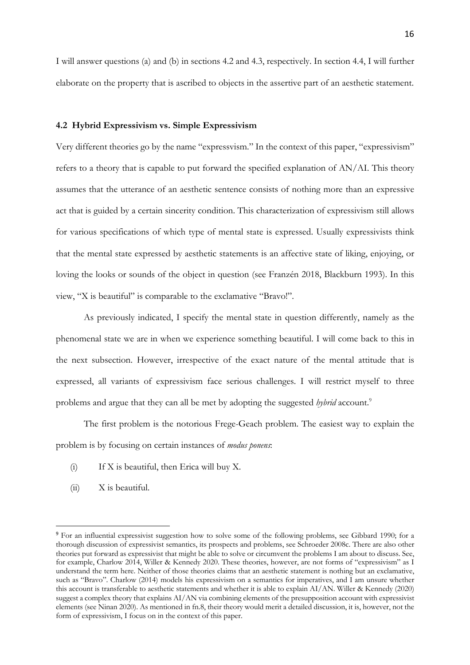I will answer questions (a) and (b) in sections 4.2 and 4.3, respectively. In section 4.4, I will further elaborate on the property that is ascribed to objects in the assertive part of an aesthetic statement.

#### **4.2 Hybrid Expressivism vs. Simple Expressivism**

Very different theories go by the name "expressvism." In the context of this paper, "expressivism" refers to a theory that is capable to put forward the specified explanation of AN/AI. This theory assumes that the utterance of an aesthetic sentence consists of nothing more than an expressive act that is guided by a certain sincerity condition. This characterization of expressivism still allows for various specifications of which type of mental state is expressed. Usually expressivists think that the mental state expressed by aesthetic statements is an affective state of liking, enjoying, or loving the looks or sounds of the object in question (see Franzén 2018, Blackburn 1993). In this view, "X is beautiful" is comparable to the exclamative "Bravo!".

As previously indicated, I specify the mental state in question differently, namely as the phenomenal state we are in when we experience something beautiful. I will come back to this in the next subsection. However, irrespective of the exact nature of the mental attitude that is expressed, all variants of expressivism face serious challenges. I will restrict myself to three problems and argue that they can all be met by adopting the suggested *hybrid* account. 9

The first problem is the notorious Frege-Geach problem. The easiest way to explain the problem is by focusing on certain instances of *modus ponens*:

- (i) If X is beautiful, then Erica will buy X.
- (ii) X is beautiful.

<sup>&</sup>lt;sup>9</sup> For an influential expressivist suggestion how to solve some of the following problems, see Gibbard 1990; for a thorough discussion of expressivist semantics, its prospects and problems, see Schroeder 2008c. There are also other theories put forward as expressivist that might be able to solve or circumvent the problems I am about to discuss. See, for example, Charlow 2014, Willer & Kennedy 2020. These theories, however, are not forms of "expressivism" as I understand the term here. Neither of those theories claims that an aesthetic statement is nothing but an exclamative, such as "Bravo". Charlow (2014) models his expressivism on a semantics for imperatives, and I am unsure whether this account is transferable to aesthetic statements and whether it is able to explain AI/AN. Willer & Kennedy (2020) suggest a complex theory that explains AI/AN via combining elements of the presupposition account with expressivist elements (see Ninan 2020). As mentioned in fn.8, their theory would merit a detailed discussion, it is, however, not the form of expressivism, I focus on in the context of this paper.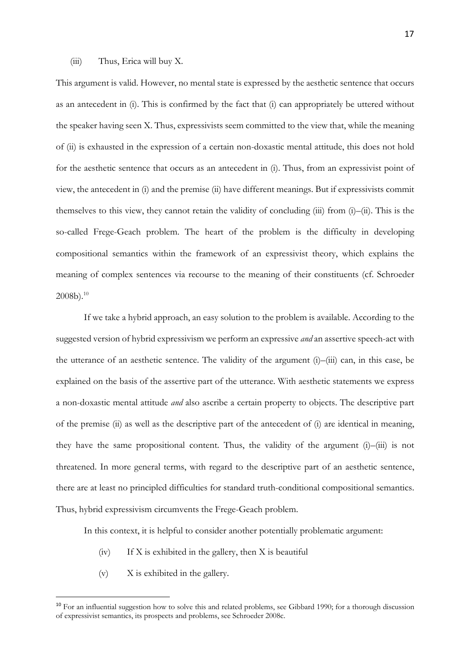#### (iii) Thus, Erica will buy X.

This argument is valid. However, no mental state is expressed by the aesthetic sentence that occurs as an antecedent in (i). This is confirmed by the fact that (i) can appropriately be uttered without the speaker having seen X. Thus, expressivists seem committed to the view that, while the meaning of (ii) is exhausted in the expression of a certain non-doxastic mental attitude, this does not hold for the aesthetic sentence that occurs as an antecedent in (i). Thus, from an expressivist point of view, the antecedent in (i) and the premise (ii) have different meanings. But if expressivists commit themselves to this view, they cannot retain the validity of concluding (iii) from (i)–(ii). This is the so-called Frege-Geach problem. The heart of the problem is the difficulty in developing compositional semantics within the framework of an expressivist theory, which explains the meaning of complex sentences via recourse to the meaning of their constituents (cf. Schroeder  $2008b$ ).<sup>10</sup>

If we take a hybrid approach, an easy solution to the problem is available. According to the suggested version of hybrid expressivism we perform an expressive *and* an assertive speech-act with the utterance of an aesthetic sentence. The validity of the argument (i)–(iii) can, in this case, be explained on the basis of the assertive part of the utterance. With aesthetic statements we express a non-doxastic mental attitude *and* also ascribe a certain property to objects. The descriptive part of the premise (ii) as well as the descriptive part of the antecedent of (i) are identical in meaning, they have the same propositional content. Thus, the validity of the argument (i)–(iii) is not threatened. In more general terms, with regard to the descriptive part of an aesthetic sentence, there are at least no principled difficulties for standard truth-conditional compositional semantics. Thus, hybrid expressivism circumvents the Frege-Geach problem.

In this context, it is helpful to consider another potentially problematic argument:

- (iv) If X is exhibited in the gallery, then X is beautiful
- (v) X is exhibited in the gallery.

<sup>&</sup>lt;sup>10</sup> For an influential suggestion how to solve this and related problems, see Gibbard 1990; for a thorough discussion of expressivist semantics, its prospects and problems, see Schroeder 2008c.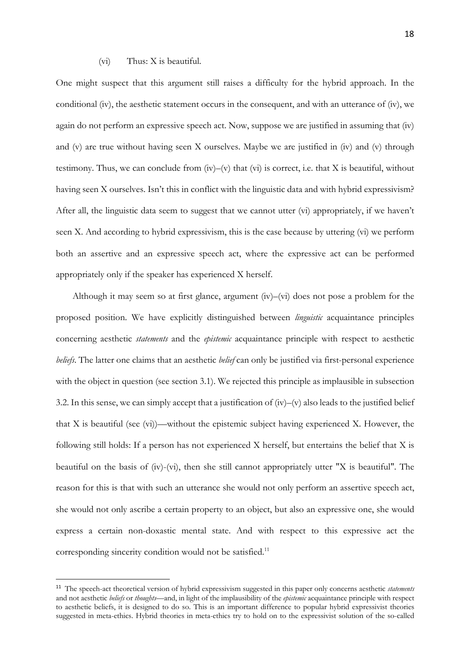#### (vi) Thus: X is beautiful.

One might suspect that this argument still raises a difficulty for the hybrid approach. In the conditional (iv), the aesthetic statement occurs in the consequent, and with an utterance of (iv), we again do not perform an expressive speech act. Now, suppose we are justified in assuming that (iv) and (v) are true without having seen X ourselves. Maybe we are justified in (iv) and (v) through testimony. Thus, we can conclude from (iv)–(v) that (vi) is correct, i.e. that X is beautiful, without having seen X ourselves. Isn't this in conflict with the linguistic data and with hybrid expressivism? After all, the linguistic data seem to suggest that we cannot utter (vi) appropriately, if we haven't seen X. And according to hybrid expressivism, this is the case because by uttering (vi) we perform both an assertive and an expressive speech act, where the expressive act can be performed appropriately only if the speaker has experienced X herself.

Although it may seem so at first glance, argument (iv)–(vi) does not pose a problem for the proposed position. We have explicitly distinguished between *linguistic* acquaintance principles concerning aesthetic *statements* and the *epistemic* acquaintance principle with respect to aesthetic *beliefs*. The latter one claims that an aesthetic *belief* can only be justified via first-personal experience with the object in question (see section 3.1). We rejected this principle as implausible in subsection 3.2. In this sense, we can simply accept that a justification of (iv)–(v) also leads to the justified belief that X is beautiful (see (vi))––without the epistemic subject having experienced X. However, the following still holds: If a person has not experienced X herself, but entertains the belief that X is beautiful on the basis of (iv)-(vi), then she still cannot appropriately utter "X is beautiful". The reason for this is that with such an utterance she would not only perform an assertive speech act, she would not only ascribe a certain property to an object, but also an expressive one, she would express a certain non-doxastic mental state. And with respect to this expressive act the corresponding sincerity condition would not be satisfied.<sup>11</sup>

<sup>11</sup> The speech-act theoretical version of hybrid expressivism suggested in this paper only concerns aesthetic *statements*  and not aesthetic *beliefs* or *thoughts*––and, in light of the implausibility of the *epistemic* acquaintance principle with respect to aesthetic beliefs, it is designed to do so. This is an important difference to popular hybrid expressivist theories suggested in meta-ethics. Hybrid theories in meta-ethics try to hold on to the expressivist solution of the so-called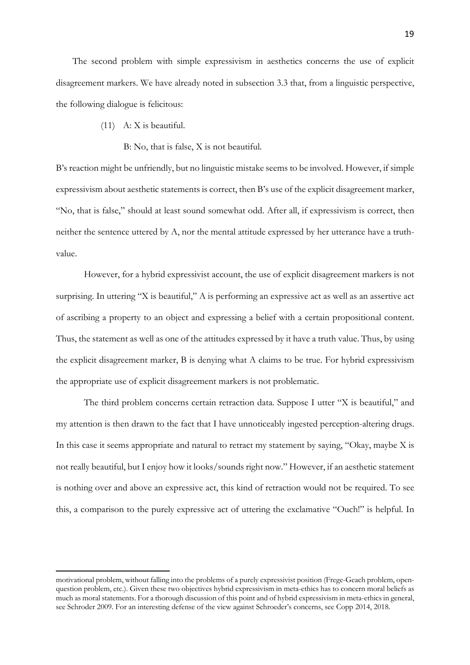The second problem with simple expressivism in aesthetics concerns the use of explicit disagreement markers. We have already noted in subsection 3.3 that, from a linguistic perspective, the following dialogue is felicitous:

- (11) A: X is beautiful.
	- B: No, that is false, X is not beautiful.

B's reaction might be unfriendly, but no linguistic mistake seems to be involved. However, if simple expressivism about aesthetic statements is correct, then B's use of the explicit disagreement marker, "No, that is false," should at least sound somewhat odd. After all, if expressivism is correct, then neither the sentence uttered by A, nor the mental attitude expressed by her utterance have a truthvalue.

However, for a hybrid expressivist account, the use of explicit disagreement markers is not surprising. In uttering "X is beautiful," A is performing an expressive act as well as an assertive act of ascribing a property to an object and expressing a belief with a certain propositional content. Thus, the statement as well as one of the attitudes expressed by it have a truth value. Thus, by using the explicit disagreement marker, B is denying what A claims to be true. For hybrid expressivism the appropriate use of explicit disagreement markers is not problematic.

The third problem concerns certain retraction data. Suppose I utter "X is beautiful," and my attention is then drawn to the fact that I have unnoticeably ingested perception-altering drugs. In this case it seems appropriate and natural to retract my statement by saying, "Okay, maybe X is not really beautiful, but I enjoy how it looks/sounds right now." However, if an aesthetic statement is nothing over and above an expressive act, this kind of retraction would not be required. To see this, a comparison to the purely expressive act of uttering the exclamative "Ouch!" is helpful. In

motivational problem, without falling into the problems of a purely expressivist position (Frege-Geach problem, openquestion problem, etc.). Given these two objectives hybrid expressivism in meta-ethics has to concern moral beliefs as much as moral statements. For a thorough discussion of this point and of hybrid expressivism in meta-ethics in general, see Schroder 2009. For an interesting defense of the view against Schroeder's concerns, see Copp 2014, 2018.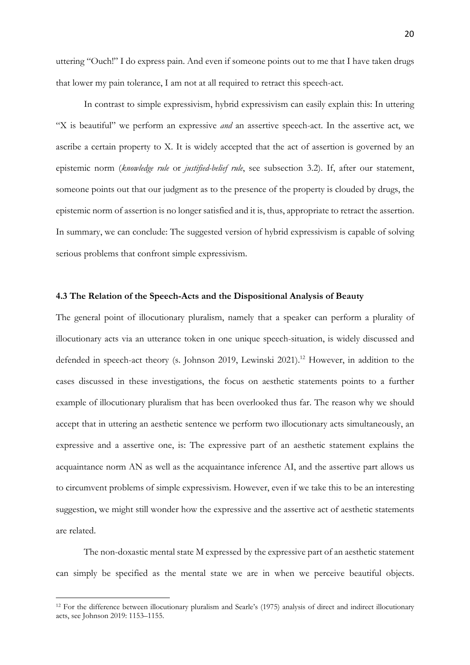uttering "Ouch!" I do express pain. And even if someone points out to me that I have taken drugs that lower my pain tolerance, I am not at all required to retract this speech-act.

In contrast to simple expressivism, hybrid expressivism can easily explain this: In uttering "X is beautiful" we perform an expressive *and* an assertive speech-act. In the assertive act, we ascribe a certain property to X. It is widely accepted that the act of assertion is governed by an epistemic norm (*knowledge rule* or *justified-belief rule*, see subsection 3.2). If, after our statement, someone points out that our judgment as to the presence of the property is clouded by drugs, the epistemic norm of assertion is no longer satisfied and it is, thus, appropriate to retract the assertion. In summary, we can conclude: The suggested version of hybrid expressivism is capable of solving serious problems that confront simple expressivism.

#### **4.3 The Relation of the Speech-Acts and the Dispositional Analysis of Beauty**

The general point of illocutionary pluralism, namely that a speaker can perform a plurality of illocutionary acts via an utterance token in one unique speech-situation, is widely discussed and defended in speech-act theory (s. Johnson 2019, Lewinski 2021).<sup>12</sup> However, in addition to the cases discussed in these investigations, the focus on aesthetic statements points to a further example of illocutionary pluralism that has been overlooked thus far. The reason why we should accept that in uttering an aesthetic sentence we perform two illocutionary acts simultaneously, an expressive and a assertive one, is: The expressive part of an aesthetic statement explains the acquaintance norm AN as well as the acquaintance inference AI, and the assertive part allows us to circumvent problems of simple expressivism. However, even if we take this to be an interesting suggestion, we might still wonder how the expressive and the assertive act of aesthetic statements are related.

The non-doxastic mental state M expressed by the expressive part of an aesthetic statement can simply be specified as the mental state we are in when we perceive beautiful objects.

<sup>12</sup> For the difference between illocutionary pluralism and Searle's (1975) analysis of direct and indirect illocutionary acts, see Johnson 2019: 1153–1155.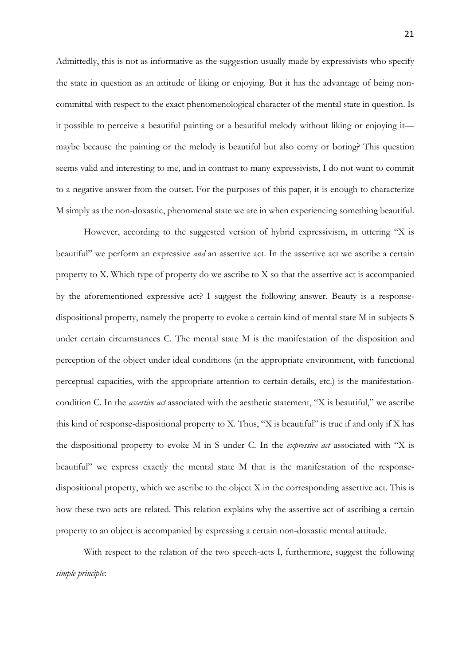Admittedly, this is not as informative as the suggestion usually made by expressivists who specify the state in question as an attitude of liking or enjoying. But it has the advantage of being noncommittal with respect to the exact phenomenological character of the mental state in question. Is it possible to perceive a beautiful painting or a beautiful melody without liking or enjoying it maybe because the painting or the melody is beautiful but also corny or boring? This question seems valid and interesting to me, and in contrast to many expressivists, I do not want to commit to a negative answer from the outset. For the purposes of this paper, it is enough to characterize M simply as the non-doxastic, phenomenal state we are in when experiencing something beautiful.

However, according to the suggested version of hybrid expressivism, in uttering "X is beautiful" we perform an expressive *and* an assertive act. In the assertive act we ascribe a certain property to X. Which type of property do we ascribe to X so that the assertive act is accompanied by the aforementioned expressive act? I suggest the following answer. Beauty is a responsedispositional property, namely the property to evoke a certain kind of mental state M in subjects S under certain circumstances C. The mental state M is the manifestation of the disposition and perception of the object under ideal conditions (in the appropriate environment, with functional perceptual capacities, with the appropriate attention to certain details, etc.) is the manifestationcondition C. In the *assertive act* associated with the aesthetic statement, "X is beautiful," we ascribe this kind of response-dispositional property to X. Thus, "X is beautiful" is true if and only if X has the dispositional property to evoke M in S under C. In the *expressive act* associated with "X is beautiful" we express exactly the mental state M that is the manifestation of the responsedispositional property, which we ascribe to the object X in the corresponding assertive act. This is how these two acts are related. This relation explains why the assertive act of ascribing a certain property to an object is accompanied by expressing a certain non-doxastic mental attitude.

With respect to the relation of the two speech-acts I, furthermore, suggest the following *simple principle*: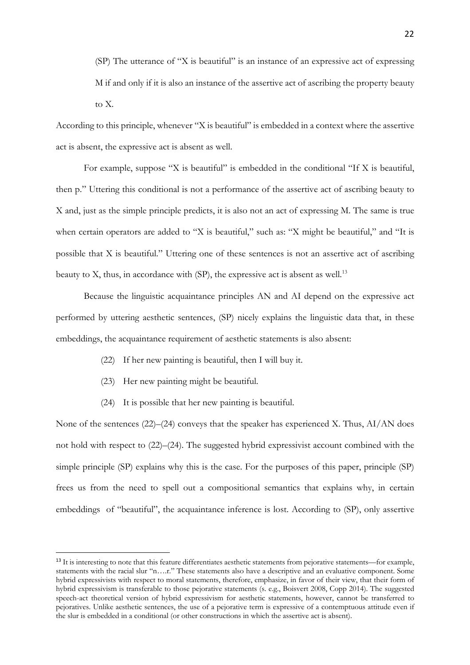(SP) The utterance of "X is beautiful" is an instance of an expressive act of expressing M if and only if it is also an instance of the assertive act of ascribing the property beauty to X.

According to this principle, whenever "X is beautiful" is embedded in a context where the assertive act is absent, the expressive act is absent as well.

For example, suppose "X is beautiful" is embedded in the conditional "If X is beautiful, then p." Uttering this conditional is not a performance of the assertive act of ascribing beauty to X and, just as the simple principle predicts, it is also not an act of expressing M. The same is true when certain operators are added to "X is beautiful," such as: "X might be beautiful," and "It is possible that X is beautiful." Uttering one of these sentences is not an assertive act of ascribing beauty to  $X$ , thus, in accordance with  $(SP)$ , the expressive act is absent as well.<sup>13</sup>

Because the linguistic acquaintance principles AN and AI depend on the expressive act performed by uttering aesthetic sentences, (SP) nicely explains the linguistic data that, in these embeddings, the acquaintance requirement of aesthetic statements is also absent:

- (22) If her new painting is beautiful, then I will buy it.
- (23) Her new painting might be beautiful.
- (24) It is possible that her new painting is beautiful.

None of the sentences (22)–(24) conveys that the speaker has experienced X. Thus, AI/AN does not hold with respect to (22)–(24). The suggested hybrid expressivist account combined with the simple principle (SP) explains why this is the case. For the purposes of this paper, principle (SP) frees us from the need to spell out a compositional semantics that explains why, in certain embeddings of "beautiful", the acquaintance inference is lost. According to (SP), only assertive

<sup>&</sup>lt;sup>13</sup> It is interesting to note that this feature differentiates aesthetic statements from pejorative statements—for example, statements with the racial slur "n….r." These statements also have a descriptive and an evaluative component. Some hybrid expressivists with respect to moral statements, therefore, emphasize, in favor of their view, that their form of hybrid expressivism is transferable to those pejorative statements (s. e.g., Boisvert 2008, Copp 2014). The suggested speech-act theoretical version of hybrid expressivism for aesthetic statements, however, cannot be transferred to pejoratives. Unlike aesthetic sentences, the use of a pejorative term is expressive of a contemptuous attitude even if the slur is embedded in a conditional (or other constructions in which the assertive act is absent).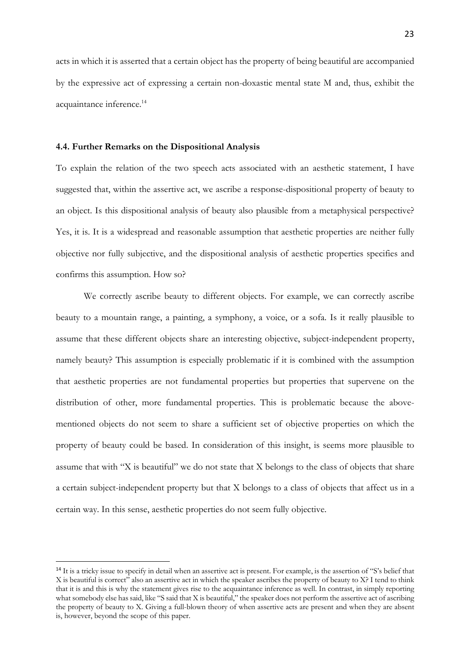acts in which it is asserted that a certain object has the property of being beautiful are accompanied by the expressive act of expressing a certain non-doxastic mental state M and, thus, exhibit the acquaintance inference.<sup>14</sup>

### **4.4. Further Remarks on the Dispositional Analysis**

To explain the relation of the two speech acts associated with an aesthetic statement, I have suggested that, within the assertive act, we ascribe a response-dispositional property of beauty to an object. Is this dispositional analysis of beauty also plausible from a metaphysical perspective? Yes, it is. It is a widespread and reasonable assumption that aesthetic properties are neither fully objective nor fully subjective, and the dispositional analysis of aesthetic properties specifies and confirms this assumption. How so?

We correctly ascribe beauty to different objects. For example, we can correctly ascribe beauty to a mountain range, a painting, a symphony, a voice, or a sofa. Is it really plausible to assume that these different objects share an interesting objective, subject-independent property, namely beauty? This assumption is especially problematic if it is combined with the assumption that aesthetic properties are not fundamental properties but properties that supervene on the distribution of other, more fundamental properties. This is problematic because the abovementioned objects do not seem to share a sufficient set of objective properties on which the property of beauty could be based. In consideration of this insight, is seems more plausible to assume that with "X is beautiful" we do not state that X belongs to the class of objects that share a certain subject-independent property but that X belongs to a class of objects that affect us in a certain way. In this sense, aesthetic properties do not seem fully objective.

<sup>&</sup>lt;sup>14</sup> It is a tricky issue to specify in detail when an assertive act is present. For example, is the assertion of "S's belief that X is beautiful is correct" also an assertive act in which the speaker ascribes the property of beauty to X? I tend to think that it is and this is why the statement gives rise to the acquaintance inference as well. In contrast, in simply reporting what somebody else has said, like "S said that X is beautiful," the speaker does not perform the assertive act of ascribing the property of beauty to X. Giving a full-blown theory of when assertive acts are present and when they are absent is, however, beyond the scope of this paper.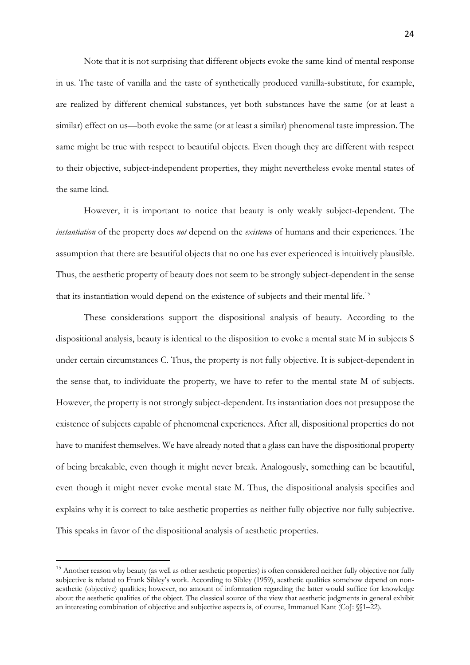Note that it is not surprising that different objects evoke the same kind of mental response in us. The taste of vanilla and the taste of synthetically produced vanilla-substitute, for example, are realized by different chemical substances, yet both substances have the same (or at least a similar) effect on us—both evoke the same (or at least a similar) phenomenal taste impression. The same might be true with respect to beautiful objects. Even though they are different with respect to their objective, subject-independent properties, they might nevertheless evoke mental states of the same kind.

However, it is important to notice that beauty is only weakly subject-dependent. The *instantiation* of the property does *not* depend on the *existence* of humans and their experiences. The assumption that there are beautiful objects that no one has ever experienced is intuitively plausible. Thus, the aesthetic property of beauty does not seem to be strongly subject-dependent in the sense that its instantiation would depend on the existence of subjects and their mental life.<sup>15</sup>

These considerations support the dispositional analysis of beauty. According to the dispositional analysis, beauty is identical to the disposition to evoke a mental state M in subjects S under certain circumstances C. Thus, the property is not fully objective. It is subject-dependent in the sense that, to individuate the property, we have to refer to the mental state M of subjects. However, the property is not strongly subject-dependent. Its instantiation does not presuppose the existence of subjects capable of phenomenal experiences. After all, dispositional properties do not have to manifest themselves. We have already noted that a glass can have the dispositional property of being breakable, even though it might never break. Analogously, something can be beautiful, even though it might never evoke mental state M. Thus, the dispositional analysis specifies and explains why it is correct to take aesthetic properties as neither fully objective nor fully subjective. This speaks in favor of the dispositional analysis of aesthetic properties.

<sup>&</sup>lt;sup>15</sup> Another reason why beauty (as well as other aesthetic properties) is often considered neither fully objective nor fully subjective is related to Frank Sibley's work. According to Sibley (1959), aesthetic qualities somehow depend on nonaesthetic (objective) qualities; however, no amount of information regarding the latter would suffice for knowledge about the aesthetic qualities of the object. The classical source of the view that aesthetic judgments in general exhibit an interesting combination of objective and subjective aspects is, of course, Immanuel Kant (CoJ: §§1–22).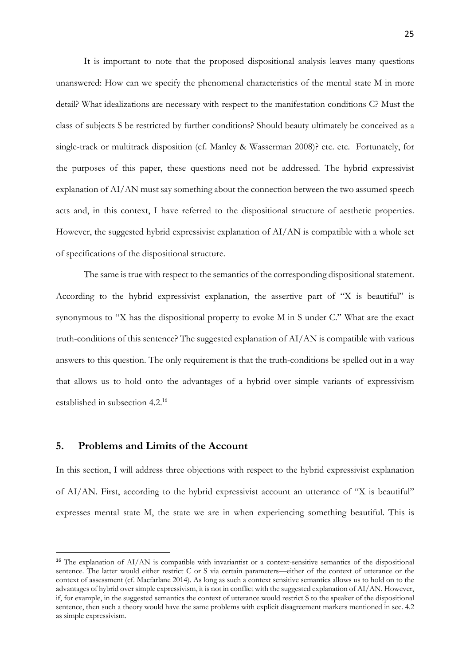It is important to note that the proposed dispositional analysis leaves many questions unanswered: How can we specify the phenomenal characteristics of the mental state M in more detail? What idealizations are necessary with respect to the manifestation conditions C? Must the class of subjects S be restricted by further conditions? Should beauty ultimately be conceived as a single-track or multitrack disposition (cf. Manley & Wasserman 2008)? etc. etc. Fortunately, for the purposes of this paper, these questions need not be addressed. The hybrid expressivist explanation of AI/AN must say something about the connection between the two assumed speech acts and, in this context, I have referred to the dispositional structure of aesthetic properties. However, the suggested hybrid expressivist explanation of  $A I/AN$  is compatible with a whole set of specifications of the dispositional structure.

The same is true with respect to the semantics of the corresponding dispositional statement. According to the hybrid expressivist explanation, the assertive part of "X is beautiful" is synonymous to "X has the dispositional property to evoke M in S under C." What are the exact truth-conditions of this sentence? The suggested explanation of AI/AN is compatible with various answers to this question. The only requirement is that the truth-conditions be spelled out in a way that allows us to hold onto the advantages of a hybrid over simple variants of expressivism established in subsection 4.2.16

## **5. Problems and Limits of the Account**

In this section, I will address three objections with respect to the hybrid expressivist explanation of AI/AN. First, according to the hybrid expressivist account an utterance of "X is beautiful" expresses mental state M, the state we are in when experiencing something beautiful. This is

<sup>&</sup>lt;sup>16</sup> The explanation of AI/AN is compatible with invariantist or a context-sensitive semantics of the dispositional sentence. The latter would either restrict C or S via certain parameters––either of the context of utterance or the context of assessment (cf. Macfarlane 2014). As long as such a context sensitive semantics allows us to hold on to the advantages of hybrid over simple expressivism, it is not in conflict with the suggested explanation of AI/AN. However, if, for example, in the suggested semantics the context of utterance would restrict S to the speaker of the dispositional sentence, then such a theory would have the same problems with explicit disagreement markers mentioned in sec. 4.2 as simple expressivism.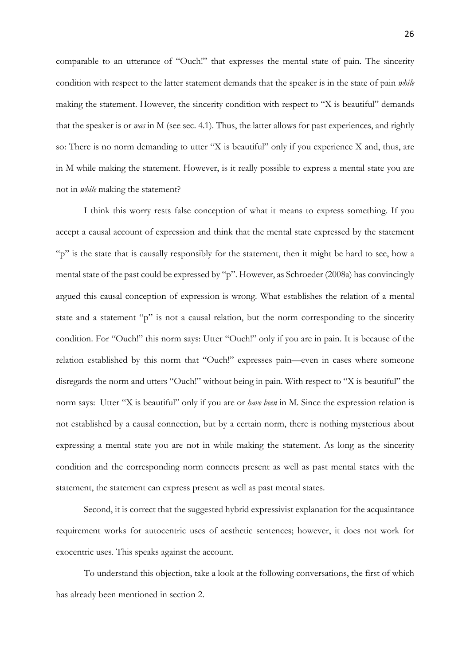comparable to an utterance of "Ouch!" that expresses the mental state of pain. The sincerity condition with respect to the latter statement demands that the speaker is in the state of pain *while*  making the statement. However, the sincerity condition with respect to "X is beautiful" demands that the speaker is or *was* in M (see sec. 4.1). Thus, the latter allows for past experiences, and rightly so: There is no norm demanding to utter "X is beautiful" only if you experience X and, thus, are in M while making the statement. However, is it really possible to express a mental state you are not in *while* making the statement?

I think this worry rests false conception of what it means to express something. If you accept a causal account of expression and think that the mental state expressed by the statement "p" is the state that is causally responsibly for the statement, then it might be hard to see, how a mental state of the past could be expressed by "p". However, as Schroeder (2008a) has convincingly argued this causal conception of expression is wrong. What establishes the relation of a mental state and a statement "p" is not a causal relation, but the norm corresponding to the sincerity condition. For "Ouch!" this norm says: Utter "Ouch!" only if you are in pain. It is because of the relation established by this norm that "Ouch!" expresses pain––even in cases where someone disregards the norm and utters "Ouch!" without being in pain. With respect to "X is beautiful" the norm says: Utter "X is beautiful" only if you are or *have been* in M. Since the expression relation is not established by a causal connection, but by a certain norm, there is nothing mysterious about expressing a mental state you are not in while making the statement. As long as the sincerity condition and the corresponding norm connects present as well as past mental states with the statement, the statement can express present as well as past mental states.

Second, it is correct that the suggested hybrid expressivist explanation for the acquaintance requirement works for autocentric uses of aesthetic sentences; however, it does not work for exocentric uses. This speaks against the account.

To understand this objection, take a look at the following conversations, the first of which has already been mentioned in section 2.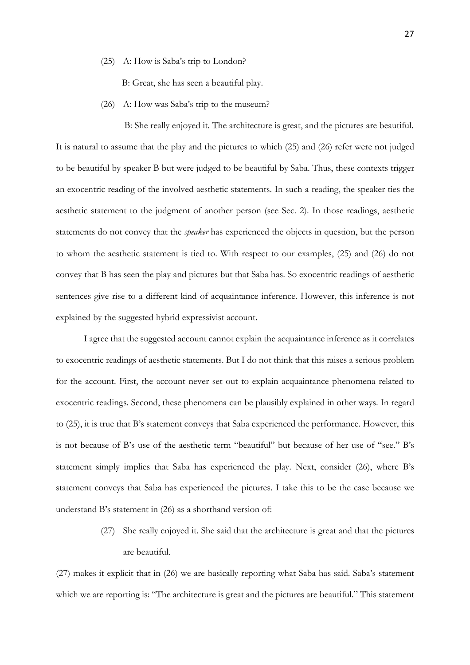(25) A: How is Saba's trip to London?

B: Great, she has seen a beautiful play.

(26) A: How was Saba's trip to the museum?

 B: She really enjoyed it. The architecture is great, and the pictures are beautiful. It is natural to assume that the play and the pictures to which (25) and (26) refer were not judged to be beautiful by speaker B but were judged to be beautiful by Saba. Thus, these contexts trigger an exocentric reading of the involved aesthetic statements. In such a reading, the speaker ties the aesthetic statement to the judgment of another person (see Sec. 2). In those readings, aesthetic statements do not convey that the *speaker* has experienced the objects in question, but the person to whom the aesthetic statement is tied to. With respect to our examples, (25) and (26) do not convey that B has seen the play and pictures but that Saba has. So exocentric readings of aesthetic sentences give rise to a different kind of acquaintance inference. However, this inference is not explained by the suggested hybrid expressivist account.

I agree that the suggested account cannot explain the acquaintance inference as it correlates to exocentric readings of aesthetic statements. But I do not think that this raises a serious problem for the account. First, the account never set out to explain acquaintance phenomena related to exocentric readings. Second, these phenomena can be plausibly explained in other ways. In regard to (25), it is true that B's statement conveys that Saba experienced the performance. However, this is not because of B's use of the aesthetic term "beautiful" but because of her use of "see." B's statement simply implies that Saba has experienced the play. Next, consider (26), where B's statement conveys that Saba has experienced the pictures. I take this to be the case because we understand B's statement in (26) as a shorthand version of:

> (27) She really enjoyed it. She said that the architecture is great and that the pictures are beautiful.

(27) makes it explicit that in (26) we are basically reporting what Saba has said. Saba's statement which we are reporting is: "The architecture is great and the pictures are beautiful." This statement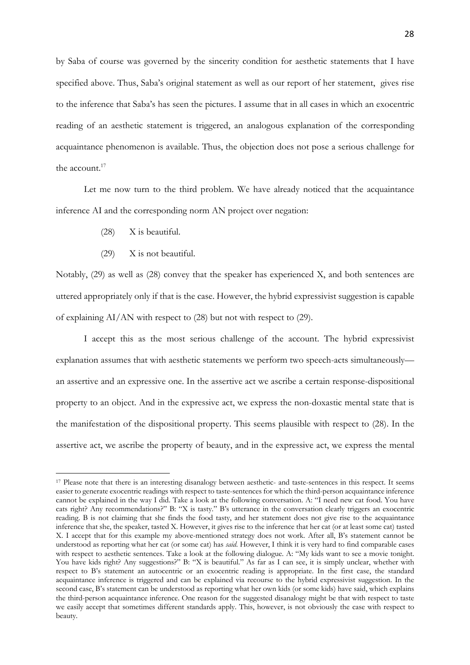by Saba of course was governed by the sincerity condition for aesthetic statements that I have specified above. Thus, Saba's original statement as well as our report of her statement, gives rise to the inference that Saba's has seen the pictures. I assume that in all cases in which an exocentric reading of an aesthetic statement is triggered, an analogous explanation of the corresponding acquaintance phenomenon is available. Thus, the objection does not pose a serious challenge for the account.<sup>17</sup>

Let me now turn to the third problem. We have already noticed that the acquaintance inference AI and the corresponding norm AN project over negation:

- (28) X is beautiful.
- (29) X is not beautiful.

Notably, (29) as well as (28) convey that the speaker has experienced X, and both sentences are uttered appropriately only if that is the case. However, the hybrid expressivist suggestion is capable of explaining AI/AN with respect to (28) but not with respect to (29).

I accept this as the most serious challenge of the account. The hybrid expressivist explanation assumes that with aesthetic statements we perform two speech-acts simultaneously an assertive and an expressive one. In the assertive act we ascribe a certain response-dispositional property to an object. And in the expressive act, we express the non-doxastic mental state that is the manifestation of the dispositional property. This seems plausible with respect to (28). In the assertive act, we ascribe the property of beauty, and in the expressive act, we express the mental

<sup>&</sup>lt;sup>17</sup> Please note that there is an interesting disanalogy between aesthetic- and taste-sentences in this respect. It seems easier to generate exocentric readings with respect to taste-sentences for which the third-person acquaintance inference cannot be explained in the way I did. Take a look at the following conversation. A: "I need new cat food. You have cats right? Any recommendations?" B: "X is tasty." B's utterance in the conversation clearly triggers an exocentric reading. B is not claiming that she finds the food tasty, and her statement does not give rise to the acquaintance inference that she, the speaker, tasted X. However, it gives rise to the inference that her cat (or at least some cat) tasted X. I accept that for this example my above-mentioned strategy does not work. After all, B's statement cannot be understood as reporting what her cat (or some cat) has *said*. However, I think it is very hard to find comparable cases with respect to aesthetic sentences. Take a look at the following dialogue. A: "My kids want to see a movie tonight. You have kids right? Any suggestions?" B: "X is beautiful." As far as I can see, it is simply unclear, whether with respect to B's statement an autocentric or an exocentric reading is appropriate. In the first case, the standard acquaintance inference is triggered and can be explained via recourse to the hybrid expressivist suggestion. In the second case, B's statement can be understood as reporting what her own kids (or some kids) have said, which explains the third-person acquaintance inference. One reason for the suggested disanalogy might be that with respect to taste we easily accept that sometimes different standards apply. This, however, is not obviously the case with respect to beauty.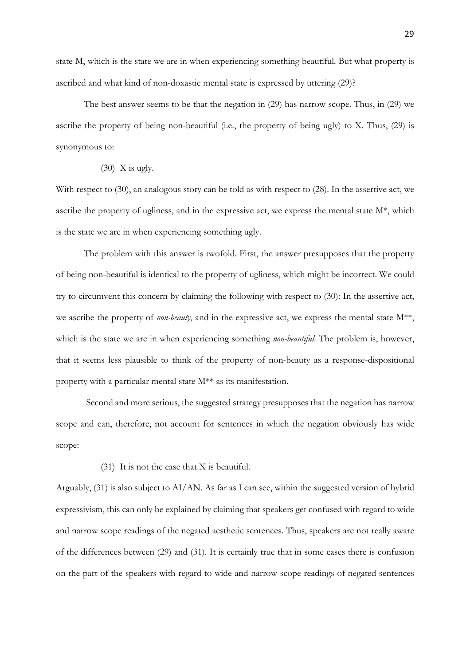state M, which is the state we are in when experiencing something beautiful. But what property is ascribed and what kind of non-doxastic mental state is expressed by uttering (29)?

The best answer seems to be that the negation in (29) has narrow scope. Thus, in (29) we ascribe the property of being non-beautiful (i.e., the property of being ugly) to X. Thus, (29) is synonymous to:

 $(30)$  X is ugly.

With respect to (30), an analogous story can be told as with respect to (28). In the assertive act, we ascribe the property of ugliness, and in the expressive act, we express the mental state M\*, which is the state we are in when experiencing something ugly.

The problem with this answer is twofold. First, the answer presupposes that the property of being non-beautiful is identical to the property of ugliness, which might be incorrect. We could try to circumvent this concern by claiming the following with respect to (30): In the assertive act, we ascribe the property of *non-beauty*, and in the expressive act, we express the mental state  $M^{**}$ , which is the state we are in when experiencing something *non-beautiful*. The problem is, however, that it seems less plausible to think of the property of non-beauty as a response-dispositional property with a particular mental state M\*\* as its manifestation.

Second and more serious, the suggested strategy presupposes that the negation has narrow scope and can, therefore, not account for sentences in which the negation obviously has wide scope:

(31) It is not the case that X is beautiful.

Arguably, (31) is also subject to AI/AN. As far as I can see, within the suggested version of hybrid expressivism, this can only be explained by claiming that speakers get confused with regard to wide and narrow scope readings of the negated aesthetic sentences. Thus, speakers are not really aware of the differences between (29) and (31). It is certainly true that in some cases there is confusion on the part of the speakers with regard to wide and narrow scope readings of negated sentences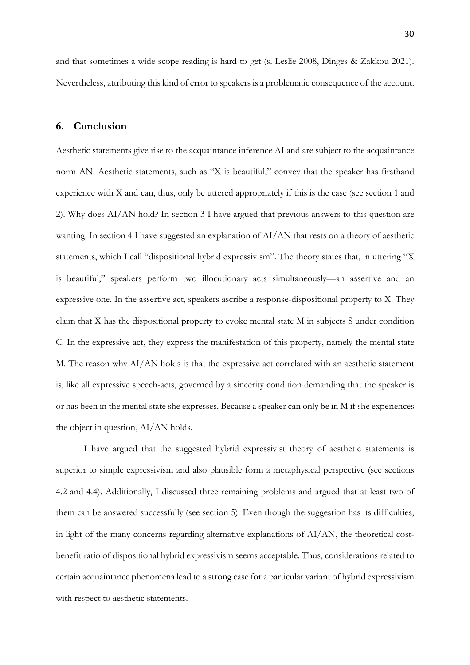and that sometimes a wide scope reading is hard to get (s. Leslie 2008, Dinges & Zakkou 2021). Nevertheless, attributing this kind of error to speakers is a problematic consequence of the account.

## **6. Conclusion**

Aesthetic statements give rise to the acquaintance inference AI and are subject to the acquaintance norm AN. Aesthetic statements, such as "X is beautiful," convey that the speaker has firsthand experience with X and can, thus, only be uttered appropriately if this is the case (see section 1 and 2). Why does AI/AN hold? In section 3 I have argued that previous answers to this question are wanting. In section 4 I have suggested an explanation of AI/AN that rests on a theory of aesthetic statements, which I call "dispositional hybrid expressivism". The theory states that, in uttering "X is beautiful," speakers perform two illocutionary acts simultaneously—an assertive and an expressive one. In the assertive act, speakers ascribe a response-dispositional property to X. They claim that X has the dispositional property to evoke mental state M in subjects S under condition C. In the expressive act, they express the manifestation of this property, namely the mental state M. The reason why AI/AN holds is that the expressive act correlated with an aesthetic statement is, like all expressive speech-acts, governed by a sincerity condition demanding that the speaker is or has been in the mental state she expresses. Because a speaker can only be in M if she experiences the object in question, AI/AN holds.

I have argued that the suggested hybrid expressivist theory of aesthetic statements is superior to simple expressivism and also plausible form a metaphysical perspective (see sections 4.2 and 4.4). Additionally, I discussed three remaining problems and argued that at least two of them can be answered successfully (see section 5). Even though the suggestion has its difficulties, in light of the many concerns regarding alternative explanations of AI/AN, the theoretical costbenefit ratio of dispositional hybrid expressivism seems acceptable. Thus, considerations related to certain acquaintance phenomena lead to a strong case for a particular variant of hybrid expressivism with respect to aesthetic statements.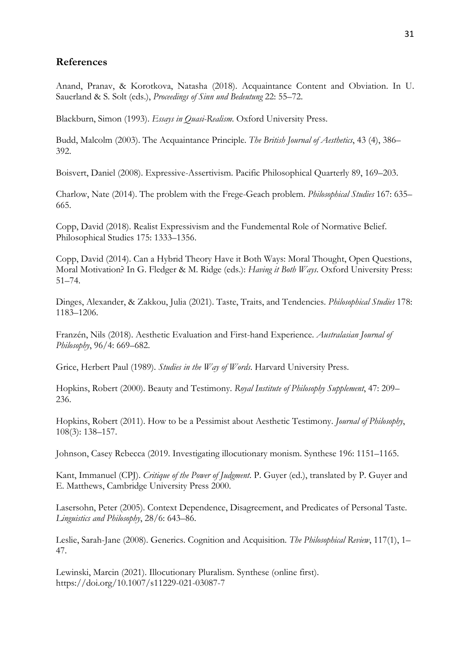## **References**

Anand, Pranav, & Korotkova, Natasha (2018). Acquaintance Content and Obviation. In U. Sauerland & S. Solt (eds.), *Proceedings of Sinn und Bedeutung* 22: 55–72.

Blackburn, Simon (1993). *Essays in Quasi-Realism*. Oxford University Press.

Budd, Malcolm (2003). The Acquaintance Principle. *The British Journal of Aesthetics*, 43 (4), 386– 392.

Boisvert, Daniel (2008). Expressive-Assertivism. Pacific Philosophical Quarterly 89, 169–203.

Charlow, Nate (2014). The problem with the Frege-Geach problem. *Philosophical Studies* 167: 635– 665.

Copp, David (2018). Realist Expressivism and the Fundemental Role of Normative Belief. Philosophical Studies 175: 1333–1356.

Copp, David (2014). Can a Hybrid Theory Have it Both Ways: Moral Thought, Open Questions, Moral Motivation? In G. Fledger & M. Ridge (eds.): *Having it Both Ways*. Oxford University Press: 51–74.

Dinges, Alexander, & Zakkou, Julia (2021). Taste, Traits, and Tendencies. *Philosophical Studies* 178: 1183–1206.

Franzén, Nils (2018). Aesthetic Evaluation and First-hand Experience. *Australasian Journal of Philosophy*, 96/4: 669–682.

Grice, Herbert Paul (1989). *Studies in the Way of Words*. Harvard University Press.

Hopkins, Robert (2000). Beauty and Testimony. *Royal Institute of Philosophy Supplement*, 47: 209– 236.

Hopkins, Robert (2011). How to be a Pessimist about Aesthetic Testimony. *Journal of Philosophy*, 108(3): 138–157.

Johnson, Casey Rebecca (2019. Investigating illocutionary monism. Synthese 196: 1151–1165.

Kant, Immanuel (CPJ). *Critique of the Power of Judgment*. P. Guyer (ed.), translated by P. Guyer and E. Matthews, Cambridge University Press 2000.

Lasersohn, Peter (2005). Context Dependence, Disagreement, and Predicates of Personal Taste. *Linguistics and Philosophy*, 28/6: 643–86.

Leslie, Sarah-Jane (2008). Generics. Cognition and Acquisition. *The Philosophical Review*, 117(1), 1– 47.

Lewinski, Marcin (2021). Illocutionary Pluralism. Synthese (online first). https://doi.org/10.1007/s11229-021-03087-7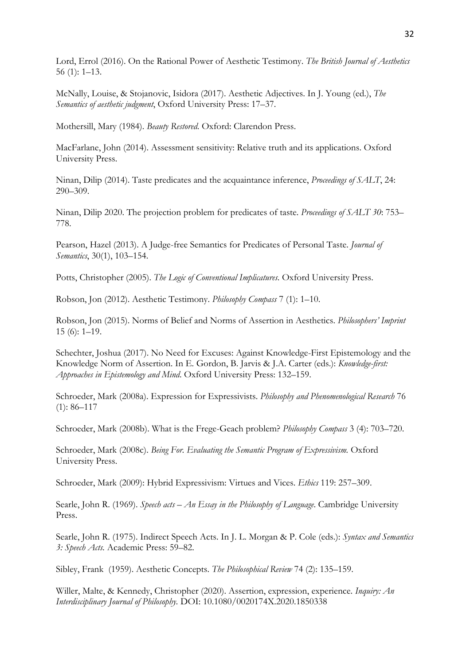Lord, Errol (2016). On the Rational Power of Aesthetic Testimony. *The British Journal of Aesthetics* 56 (1): 1–13.

McNally, Louise, & Stojanovic, Isidora (2017). Aesthetic Adjectives. In J. Young (ed.), *The Semantics of aesthetic judgment*, Oxford University Press: 17–37.

Mothersill, Mary (1984). *Beauty Restored*. Oxford: Clarendon Press.

MacFarlane, John (2014). Assessment sensitivity: Relative truth and its applications. Oxford University Press.

Ninan, Dilip (2014). Taste predicates and the acquaintance inference, *Proceedings of SALT*, 24: 290–309.

Ninan, Dilip 2020. The projection problem for predicates of taste. *Proceedings of SALT 30*: 753– 778.

Pearson, Hazel (2013). A Judge-free Semantics for Predicates of Personal Taste. *Journal of Semantics*, 30(1), 103–154.

Potts, Christopher (2005). *The Logic of Conventional Implicatures*. Oxford University Press.

Robson, Jon (2012). Aesthetic Testimony. *Philosophy Compass* 7 (1): 1–10.

Robson, Jon (2015). Norms of Belief and Norms of Assertion in Aesthetics. *Philosophers' Imprint* 15 (6): 1–19.

Schechter, Joshua (2017). No Need for Excuses: Against Knowledge-First Epistemology and the Knowledge Norm of Assertion. In E. Gordon, B. Jarvis & J.A. Carter (eds.): *Knowledge-first: Approaches in Epistemology and Mind*. Oxford University Press: 132–159.

Schroeder, Mark (2008a). Expression for Expressivists. *Philosophy and Phenomenological Research* 76  $(1): 86 - 117$ 

Schroeder, Mark (2008b). What is the Frege-Geach problem? *Philosophy Compass* 3 (4): 703–720.

Schroeder, Mark (2008c). *Being For. Evaluating the Semantic Program of Expressivism.* Oxford University Press.

Schroeder, Mark (2009): Hybrid Expressivism: Virtues and Vices. *Ethics* 119: 257–309.

Searle, John R. (1969). *Speech acts – An Essay in the Philosophy of Language*. Cambridge University Press.

Searle, John R. (1975). Indirect Speech Acts. In J. L. Morgan & P. Cole (eds.): *Syntax and Semantics 3: Speech Acts.* Academic Press: 59–82.

Sibley, Frank (1959). Aesthetic Concepts. *The Philosophical Review* 74 (2): 135–159.

Willer, Malte, & Kennedy, Christopher (2020). Assertion, expression, experience. *Inquiry: An Interdisciplinary Journal of Philosophy.* DOI: 10.1080/0020174X.2020.1850338